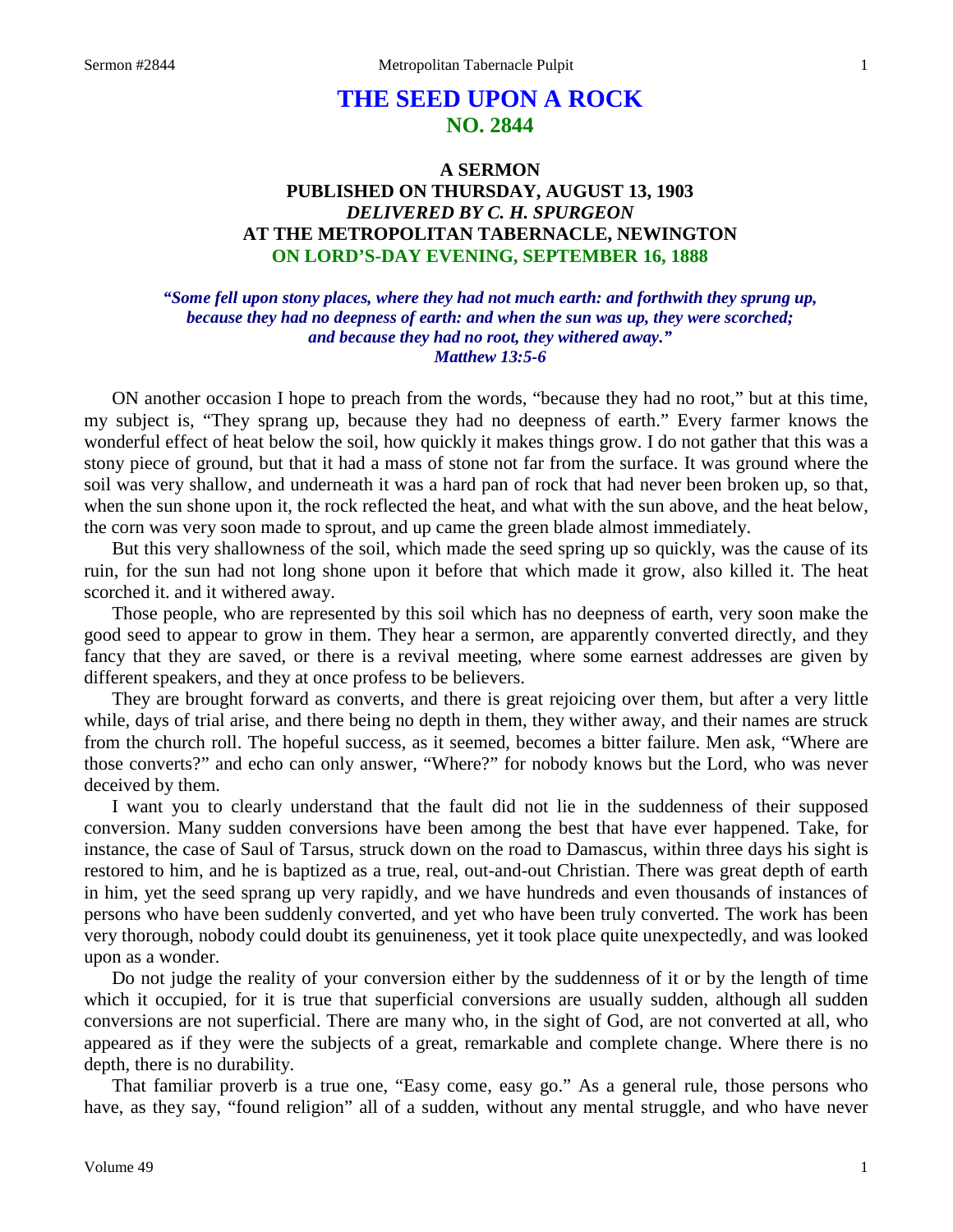# **THE SEED UPON A ROCK NO. 2844**

## **A SERMON PUBLISHED ON THURSDAY, AUGUST 13, 1903** *DELIVERED BY C. H. SPURGEON* **AT THE METROPOLITAN TABERNACLE, NEWINGTON ON LORD'S-DAY EVENING, SEPTEMBER 16, 1888**

*"Some fell upon stony places, where they had not much earth: and forthwith they sprung up, because they had no deepness of earth: and when the sun was up, they were scorched; and because they had no root, they withered away." Matthew 13:5-6*

ON another occasion I hope to preach from the words, "because they had no root," but at this time, my subject is, "They sprang up, because they had no deepness of earth." Every farmer knows the wonderful effect of heat below the soil, how quickly it makes things grow. I do not gather that this was a stony piece of ground, but that it had a mass of stone not far from the surface. It was ground where the soil was very shallow, and underneath it was a hard pan of rock that had never been broken up, so that, when the sun shone upon it, the rock reflected the heat, and what with the sun above, and the heat below, the corn was very soon made to sprout, and up came the green blade almost immediately.

But this very shallowness of the soil, which made the seed spring up so quickly, was the cause of its ruin, for the sun had not long shone upon it before that which made it grow, also killed it. The heat scorched it. and it withered away.

Those people, who are represented by this soil which has no deepness of earth, very soon make the good seed to appear to grow in them. They hear a sermon, are apparently converted directly, and they fancy that they are saved, or there is a revival meeting, where some earnest addresses are given by different speakers, and they at once profess to be believers.

They are brought forward as converts, and there is great rejoicing over them, but after a very little while, days of trial arise, and there being no depth in them, they wither away, and their names are struck from the church roll. The hopeful success, as it seemed, becomes a bitter failure. Men ask, "Where are those converts?" and echo can only answer, "Where?" for nobody knows but the Lord, who was never deceived by them.

I want you to clearly understand that the fault did not lie in the suddenness of their supposed conversion. Many sudden conversions have been among the best that have ever happened. Take, for instance, the case of Saul of Tarsus, struck down on the road to Damascus, within three days his sight is restored to him, and he is baptized as a true, real, out-and-out Christian. There was great depth of earth in him, yet the seed sprang up very rapidly, and we have hundreds and even thousands of instances of persons who have been suddenly converted, and yet who have been truly converted. The work has been very thorough, nobody could doubt its genuineness, yet it took place quite unexpectedly, and was looked upon as a wonder.

Do not judge the reality of your conversion either by the suddenness of it or by the length of time which it occupied, for it is true that superficial conversions are usually sudden, although all sudden conversions are not superficial. There are many who, in the sight of God, are not converted at all, who appeared as if they were the subjects of a great, remarkable and complete change. Where there is no depth, there is no durability.

That familiar proverb is a true one, "Easy come, easy go." As a general rule, those persons who have, as they say, "found religion" all of a sudden, without any mental struggle, and who have never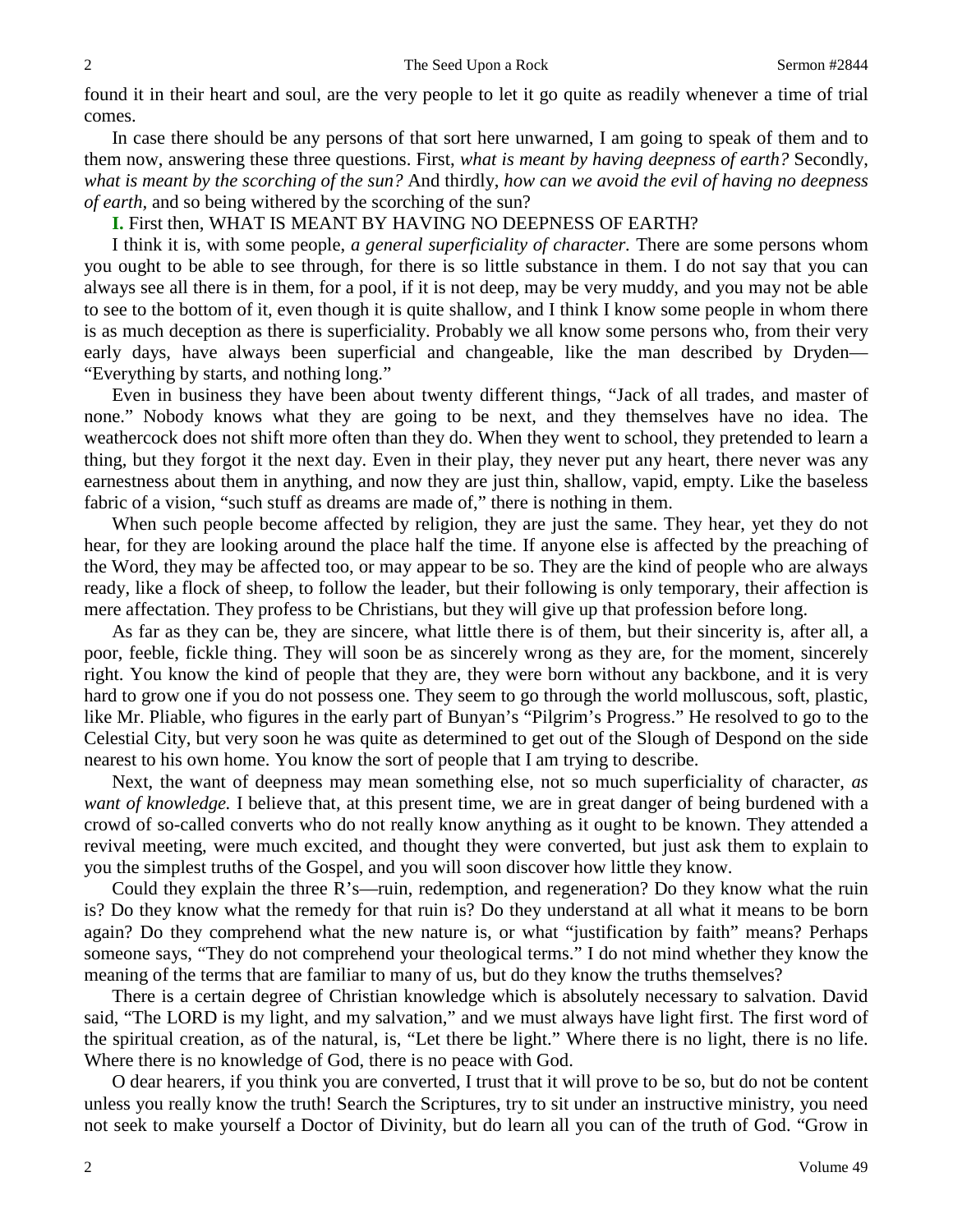found it in their heart and soul, are the very people to let it go quite as readily whenever a time of trial comes.

In case there should be any persons of that sort here unwarned, I am going to speak of them and to them now, answering these three questions. First, *what is meant by having deepness of earth?* Secondly, *what is meant by the scorching of the sun?* And thirdly, *how can we avoid the evil of having no deepness of earth,* and so being withered by the scorching of the sun?

**I.** First then, WHAT IS MEANT BY HAVING NO DEEPNESS OF EARTH?

I think it is, with some people, *a general superficiality of character.* There are some persons whom you ought to be able to see through, for there is so little substance in them. I do not say that you can always see all there is in them, for a pool, if it is not deep, may be very muddy, and you may not be able to see to the bottom of it, even though it is quite shallow, and I think I know some people in whom there is as much deception as there is superficiality. Probably we all know some persons who, from their very early days, have always been superficial and changeable, like the man described by Dryden— "Everything by starts, and nothing long."

Even in business they have been about twenty different things, "Jack of all trades, and master of none." Nobody knows what they are going to be next, and they themselves have no idea. The weathercock does not shift more often than they do. When they went to school, they pretended to learn a thing, but they forgot it the next day. Even in their play, they never put any heart, there never was any earnestness about them in anything, and now they are just thin, shallow, vapid, empty. Like the baseless fabric of a vision, "such stuff as dreams are made of," there is nothing in them.

When such people become affected by religion, they are just the same. They hear, yet they do not hear, for they are looking around the place half the time. If anyone else is affected by the preaching of the Word, they may be affected too, or may appear to be so. They are the kind of people who are always ready, like a flock of sheep, to follow the leader, but their following is only temporary, their affection is mere affectation. They profess to be Christians, but they will give up that profession before long.

As far as they can be, they are sincere, what little there is of them, but their sincerity is, after all, a poor, feeble, fickle thing. They will soon be as sincerely wrong as they are, for the moment, sincerely right. You know the kind of people that they are, they were born without any backbone, and it is very hard to grow one if you do not possess one. They seem to go through the world molluscous, soft, plastic, like Mr. Pliable, who figures in the early part of Bunyan's "Pilgrim's Progress." He resolved to go to the Celestial City, but very soon he was quite as determined to get out of the Slough of Despond on the side nearest to his own home. You know the sort of people that I am trying to describe.

Next, the want of deepness may mean something else, not so much superficiality of character, *as want of knowledge.* I believe that, at this present time, we are in great danger of being burdened with a crowd of so-called converts who do not really know anything as it ought to be known. They attended a revival meeting, were much excited, and thought they were converted, but just ask them to explain to you the simplest truths of the Gospel, and you will soon discover how little they know.

Could they explain the three R's—ruin, redemption, and regeneration? Do they know what the ruin is? Do they know what the remedy for that ruin is? Do they understand at all what it means to be born again? Do they comprehend what the new nature is, or what "justification by faith" means? Perhaps someone says, "They do not comprehend your theological terms." I do not mind whether they know the meaning of the terms that are familiar to many of us, but do they know the truths themselves?

There is a certain degree of Christian knowledge which is absolutely necessary to salvation. David said, "The LORD is my light, and my salvation," and we must always have light first. The first word of the spiritual creation, as of the natural, is, "Let there be light." Where there is no light, there is no life. Where there is no knowledge of God, there is no peace with God.

O dear hearers, if you think you are converted, I trust that it will prove to be so, but do not be content unless you really know the truth! Search the Scriptures, try to sit under an instructive ministry, you need not seek to make yourself a Doctor of Divinity, but do learn all you can of the truth of God. "Grow in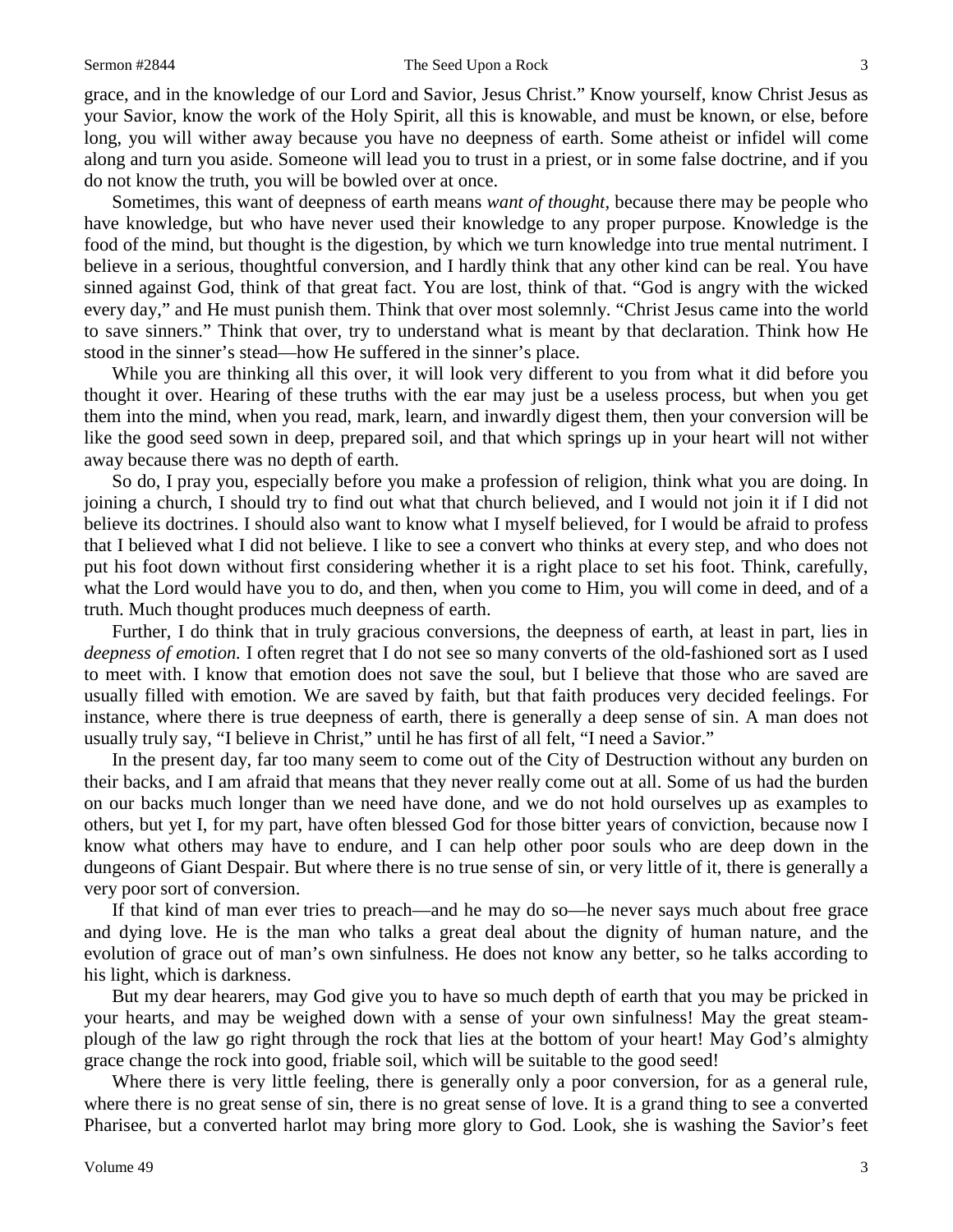#### Sermon #2844 The Seed Upon a Rock 3

grace, and in the knowledge of our Lord and Savior, Jesus Christ." Know yourself, know Christ Jesus as your Savior, know the work of the Holy Spirit, all this is knowable, and must be known, or else, before long, you will wither away because you have no deepness of earth. Some atheist or infidel will come along and turn you aside. Someone will lead you to trust in a priest, or in some false doctrine, and if you do not know the truth, you will be bowled over at once.

Sometimes, this want of deepness of earth means *want of thought,* because there may be people who have knowledge, but who have never used their knowledge to any proper purpose. Knowledge is the food of the mind, but thought is the digestion, by which we turn knowledge into true mental nutriment. I believe in a serious, thoughtful conversion, and I hardly think that any other kind can be real. You have sinned against God, think of that great fact. You are lost, think of that. "God is angry with the wicked every day," and He must punish them. Think that over most solemnly. "Christ Jesus came into the world to save sinners." Think that over, try to understand what is meant by that declaration. Think how He stood in the sinner's stead—how He suffered in the sinner's place.

While you are thinking all this over, it will look very different to you from what it did before you thought it over. Hearing of these truths with the ear may just be a useless process, but when you get them into the mind, when you read, mark, learn, and inwardly digest them, then your conversion will be like the good seed sown in deep, prepared soil, and that which springs up in your heart will not wither away because there was no depth of earth.

So do, I pray you, especially before you make a profession of religion, think what you are doing. In joining a church, I should try to find out what that church believed, and I would not join it if I did not believe its doctrines. I should also want to know what I myself believed, for I would be afraid to profess that I believed what I did not believe. I like to see a convert who thinks at every step, and who does not put his foot down without first considering whether it is a right place to set his foot. Think, carefully, what the Lord would have you to do, and then, when you come to Him, you will come in deed, and of a truth. Much thought produces much deepness of earth.

Further, I do think that in truly gracious conversions, the deepness of earth, at least in part, lies in *deepness of emotion.* I often regret that I do not see so many converts of the old-fashioned sort as I used to meet with. I know that emotion does not save the soul, but I believe that those who are saved are usually filled with emotion. We are saved by faith, but that faith produces very decided feelings. For instance, where there is true deepness of earth, there is generally a deep sense of sin. A man does not usually truly say, "I believe in Christ," until he has first of all felt, "I need a Savior."

In the present day, far too many seem to come out of the City of Destruction without any burden on their backs, and I am afraid that means that they never really come out at all. Some of us had the burden on our backs much longer than we need have done, and we do not hold ourselves up as examples to others, but yet I, for my part, have often blessed God for those bitter years of conviction, because now I know what others may have to endure, and I can help other poor souls who are deep down in the dungeons of Giant Despair. But where there is no true sense of sin, or very little of it, there is generally a very poor sort of conversion.

If that kind of man ever tries to preach—and he may do so—he never says much about free grace and dying love. He is the man who talks a great deal about the dignity of human nature, and the evolution of grace out of man's own sinfulness. He does not know any better, so he talks according to his light, which is darkness.

But my dear hearers, may God give you to have so much depth of earth that you may be pricked in your hearts, and may be weighed down with a sense of your own sinfulness! May the great steamplough of the law go right through the rock that lies at the bottom of your heart! May God's almighty grace change the rock into good, friable soil, which will be suitable to the good seed!

Where there is very little feeling, there is generally only a poor conversion, for as a general rule, where there is no great sense of sin, there is no great sense of love. It is a grand thing to see a converted Pharisee, but a converted harlot may bring more glory to God. Look, she is washing the Savior's feet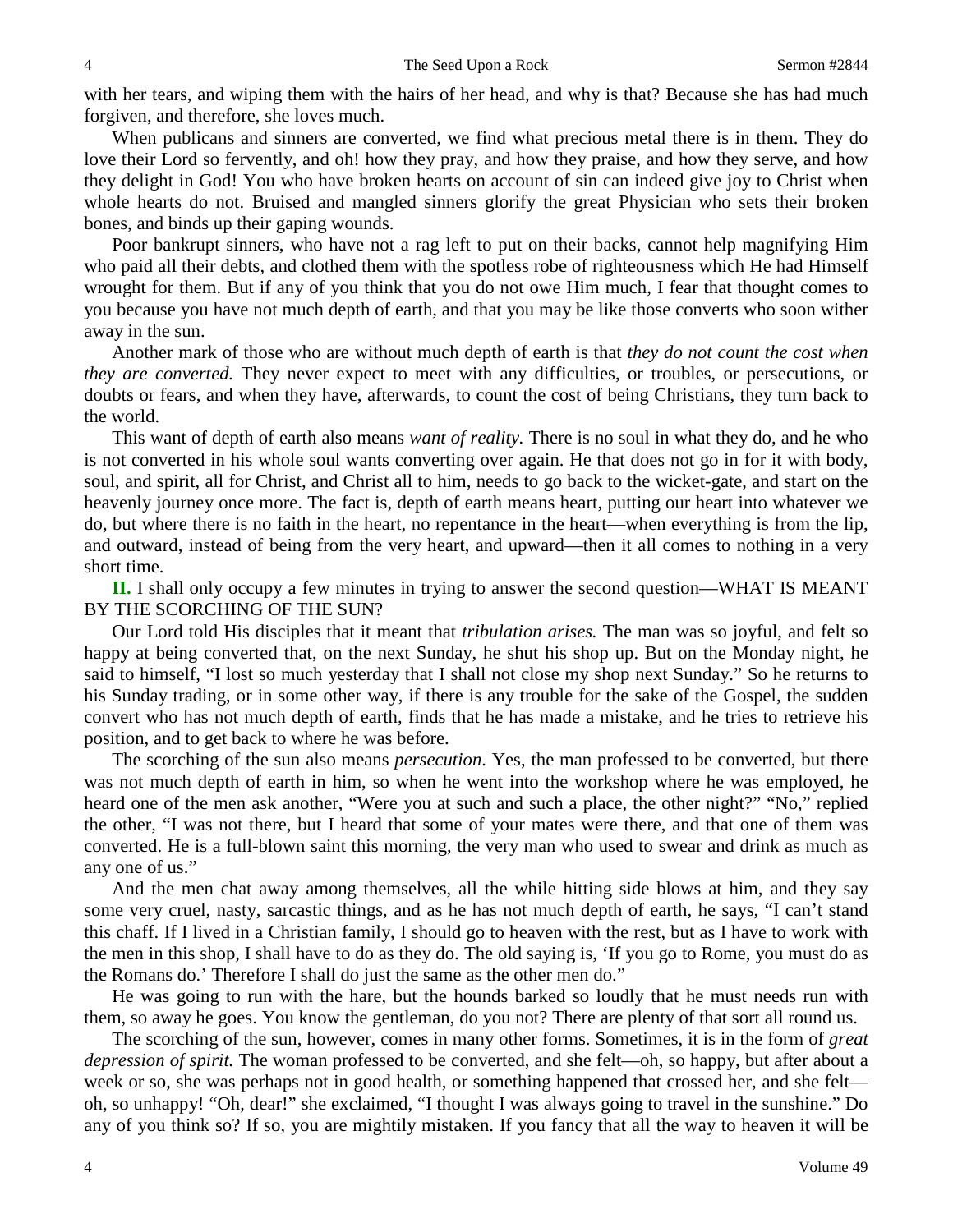with her tears, and wiping them with the hairs of her head, and why is that? Because she has had much forgiven, and therefore, she loves much.

When publicans and sinners are converted, we find what precious metal there is in them. They do love their Lord so fervently, and oh! how they pray, and how they praise, and how they serve, and how they delight in God! You who have broken hearts on account of sin can indeed give joy to Christ when whole hearts do not. Bruised and mangled sinners glorify the great Physician who sets their broken bones, and binds up their gaping wounds.

Poor bankrupt sinners, who have not a rag left to put on their backs, cannot help magnifying Him who paid all their debts, and clothed them with the spotless robe of righteousness which He had Himself wrought for them. But if any of you think that you do not owe Him much, I fear that thought comes to you because you have not much depth of earth, and that you may be like those converts who soon wither away in the sun.

Another mark of those who are without much depth of earth is that *they do not count the cost when they are converted.* They never expect to meet with any difficulties, or troubles, or persecutions, or doubts or fears, and when they have, afterwards, to count the cost of being Christians, they turn back to the world.

This want of depth of earth also means *want of reality.* There is no soul in what they do, and he who is not converted in his whole soul wants converting over again. He that does not go in for it with body, soul, and spirit, all for Christ, and Christ all to him, needs to go back to the wicket-gate, and start on the heavenly journey once more. The fact is, depth of earth means heart, putting our heart into whatever we do, but where there is no faith in the heart, no repentance in the heart—when everything is from the lip, and outward, instead of being from the very heart, and upward—then it all comes to nothing in a very short time.

**II.** I shall only occupy a few minutes in trying to answer the second question—WHAT IS MEANT BY THE SCORCHING OF THE SUN?

Our Lord told His disciples that it meant that *tribulation arises.* The man was so joyful, and felt so happy at being converted that, on the next Sunday, he shut his shop up. But on the Monday night, he said to himself, "I lost so much yesterday that I shall not close my shop next Sunday." So he returns to his Sunday trading, or in some other way, if there is any trouble for the sake of the Gospel, the sudden convert who has not much depth of earth, finds that he has made a mistake, and he tries to retrieve his position, and to get back to where he was before.

The scorching of the sun also means *persecution*. Yes, the man professed to be converted, but there was not much depth of earth in him, so when he went into the workshop where he was employed, he heard one of the men ask another, "Were you at such and such a place, the other night?" "No," replied the other, "I was not there, but I heard that some of your mates were there, and that one of them was converted. He is a full-blown saint this morning, the very man who used to swear and drink as much as any one of us."

And the men chat away among themselves, all the while hitting side blows at him, and they say some very cruel, nasty, sarcastic things, and as he has not much depth of earth, he says, "I can't stand this chaff. If I lived in a Christian family, I should go to heaven with the rest, but as I have to work with the men in this shop, I shall have to do as they do. The old saying is, 'If you go to Rome, you must do as the Romans do.' Therefore I shall do just the same as the other men do."

He was going to run with the hare, but the hounds barked so loudly that he must needs run with them, so away he goes. You know the gentleman, do you not? There are plenty of that sort all round us.

The scorching of the sun, however, comes in many other forms. Sometimes, it is in the form of *great depression of spirit.* The woman professed to be converted, and she felt—oh, so happy, but after about a week or so, she was perhaps not in good health, or something happened that crossed her, and she felt oh, so unhappy! "Oh, dear!" she exclaimed, "I thought I was always going to travel in the sunshine." Do any of you think so? If so, you are mightily mistaken. If you fancy that all the way to heaven it will be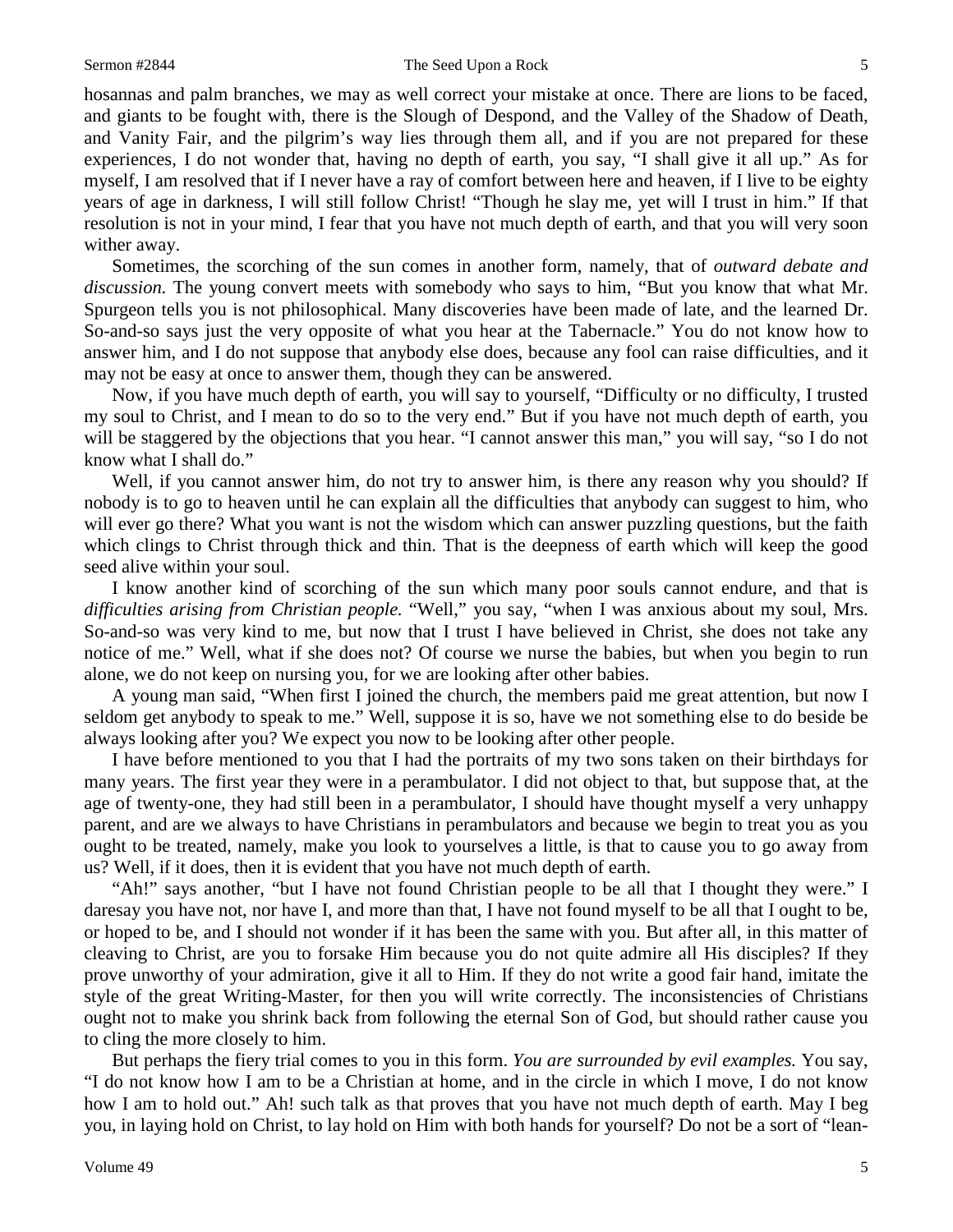### Sermon #2844 The Seed Upon a Rock 5

hosannas and palm branches, we may as well correct your mistake at once. There are lions to be faced, and giants to be fought with, there is the Slough of Despond, and the Valley of the Shadow of Death, and Vanity Fair, and the pilgrim's way lies through them all, and if you are not prepared for these experiences, I do not wonder that, having no depth of earth, you say, "I shall give it all up." As for myself, I am resolved that if I never have a ray of comfort between here and heaven, if I live to be eighty years of age in darkness, I will still follow Christ! "Though he slay me, yet will I trust in him." If that resolution is not in your mind, I fear that you have not much depth of earth, and that you will very soon wither away.

Sometimes, the scorching of the sun comes in another form, namely, that of *outward debate and discussion.* The young convert meets with somebody who says to him, "But you know that what Mr. Spurgeon tells you is not philosophical. Many discoveries have been made of late, and the learned Dr. So-and-so says just the very opposite of what you hear at the Tabernacle." You do not know how to answer him, and I do not suppose that anybody else does, because any fool can raise difficulties, and it may not be easy at once to answer them, though they can be answered.

Now, if you have much depth of earth, you will say to yourself, "Difficulty or no difficulty, I trusted my soul to Christ, and I mean to do so to the very end." But if you have not much depth of earth, you will be staggered by the objections that you hear. "I cannot answer this man," you will say, "so I do not know what I shall do."

Well, if you cannot answer him, do not try to answer him, is there any reason why you should? If nobody is to go to heaven until he can explain all the difficulties that anybody can suggest to him, who will ever go there? What you want is not the wisdom which can answer puzzling questions, but the faith which clings to Christ through thick and thin. That is the deepness of earth which will keep the good seed alive within your soul.

I know another kind of scorching of the sun which many poor souls cannot endure, and that is *difficulties arising from Christian people.* "Well," you say, "when I was anxious about my soul, Mrs. So-and-so was very kind to me, but now that I trust I have believed in Christ, she does not take any notice of me." Well, what if she does not? Of course we nurse the babies, but when you begin to run alone, we do not keep on nursing you, for we are looking after other babies.

A young man said, "When first I joined the church, the members paid me great attention, but now I seldom get anybody to speak to me." Well, suppose it is so, have we not something else to do beside be always looking after you? We expect you now to be looking after other people.

I have before mentioned to you that I had the portraits of my two sons taken on their birthdays for many years. The first year they were in a perambulator. I did not object to that, but suppose that, at the age of twenty-one, they had still been in a perambulator, I should have thought myself a very unhappy parent, and are we always to have Christians in perambulators and because we begin to treat you as you ought to be treated, namely, make you look to yourselves a little, is that to cause you to go away from us? Well, if it does, then it is evident that you have not much depth of earth.

"Ah!" says another, "but I have not found Christian people to be all that I thought they were." I daresay you have not, nor have I, and more than that, I have not found myself to be all that I ought to be, or hoped to be, and I should not wonder if it has been the same with you. But after all, in this matter of cleaving to Christ, are you to forsake Him because you do not quite admire all His disciples? If they prove unworthy of your admiration, give it all to Him. If they do not write a good fair hand, imitate the style of the great Writing-Master, for then you will write correctly. The inconsistencies of Christians ought not to make you shrink back from following the eternal Son of God, but should rather cause you to cling the more closely to him.

But perhaps the fiery trial comes to you in this form. *You are surrounded by evil examples.* You say, "I do not know how I am to be a Christian at home, and in the circle in which I move, I do not know how I am to hold out." Ah! such talk as that proves that you have not much depth of earth. May I beg you, in laying hold on Christ, to lay hold on Him with both hands for yourself? Do not be a sort of "lean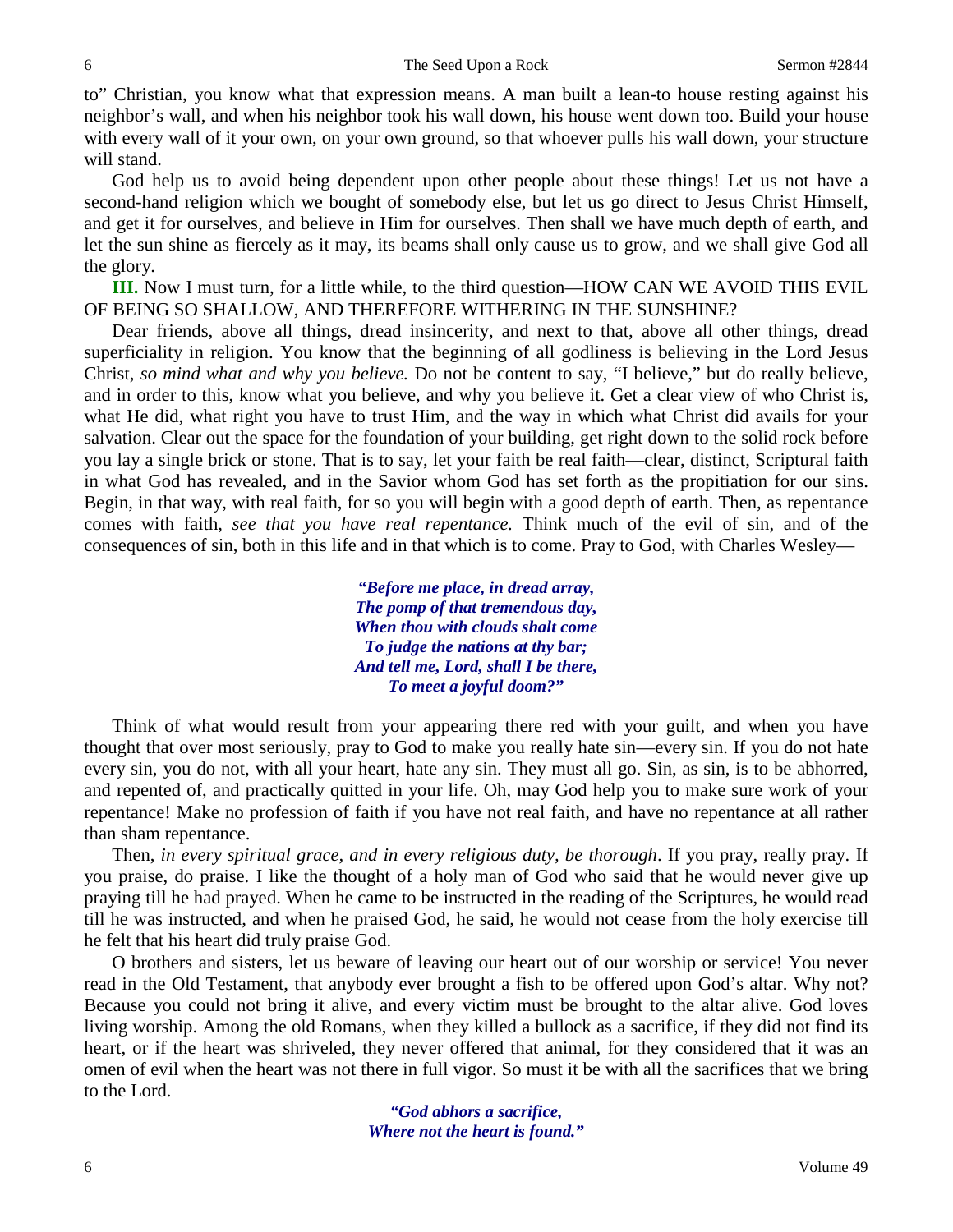to" Christian, you know what that expression means. A man built a lean-to house resting against his neighbor's wall, and when his neighbor took his wall down, his house went down too. Build your house with every wall of it your own, on your own ground, so that whoever pulls his wall down, your structure will stand.

God help us to avoid being dependent upon other people about these things! Let us not have a second-hand religion which we bought of somebody else, but let us go direct to Jesus Christ Himself, and get it for ourselves, and believe in Him for ourselves. Then shall we have much depth of earth, and let the sun shine as fiercely as it may, its beams shall only cause us to grow, and we shall give God all the glory.

**III.** Now I must turn, for a little while, to the third question—HOW CAN WE AVOID THIS EVIL OF BEING SO SHALLOW, AND THEREFORE WITHERING IN THE SUNSHINE?

Dear friends, above all things, dread insincerity, and next to that, above all other things, dread superficiality in religion. You know that the beginning of all godliness is believing in the Lord Jesus Christ, *so mind what and why you believe.* Do not be content to say, "I believe," but do really believe, and in order to this, know what you believe, and why you believe it. Get a clear view of who Christ is, what He did, what right you have to trust Him, and the way in which what Christ did avails for your salvation. Clear out the space for the foundation of your building, get right down to the solid rock before you lay a single brick or stone. That is to say, let your faith be real faith—clear, distinct, Scriptural faith in what God has revealed, and in the Savior whom God has set forth as the propitiation for our sins. Begin, in that way, with real faith, for so you will begin with a good depth of earth. Then, as repentance comes with faith, *see that you have real repentance.* Think much of the evil of sin, and of the consequences of sin, both in this life and in that which is to come. Pray to God, with Charles Wesley—

> *"Before me place, in dread array, The pomp of that tremendous day, When thou with clouds shalt come To judge the nations at thy bar; And tell me, Lord, shall I be there, To meet a joyful doom?"*

Think of what would result from your appearing there red with your guilt, and when you have thought that over most seriously, pray to God to make you really hate sin—every sin. If you do not hate every sin, you do not, with all your heart, hate any sin. They must all go. Sin, as sin, is to be abhorred, and repented of, and practically quitted in your life. Oh, may God help you to make sure work of your repentance! Make no profession of faith if you have not real faith, and have no repentance at all rather than sham repentance.

Then, *in every spiritual grace, and in every religious duty, be thorough*. If you pray, really pray. If you praise, do praise. I like the thought of a holy man of God who said that he would never give up praying till he had prayed. When he came to be instructed in the reading of the Scriptures, he would read till he was instructed, and when he praised God, he said, he would not cease from the holy exercise till he felt that his heart did truly praise God.

O brothers and sisters, let us beware of leaving our heart out of our worship or service! You never read in the Old Testament, that anybody ever brought a fish to be offered upon God's altar. Why not? Because you could not bring it alive, and every victim must be brought to the altar alive. God loves living worship. Among the old Romans, when they killed a bullock as a sacrifice, if they did not find its heart, or if the heart was shriveled, they never offered that animal, for they considered that it was an omen of evil when the heart was not there in full vigor. So must it be with all the sacrifices that we bring to the Lord.

> *"God abhors a sacrifice, Where not the heart is found."*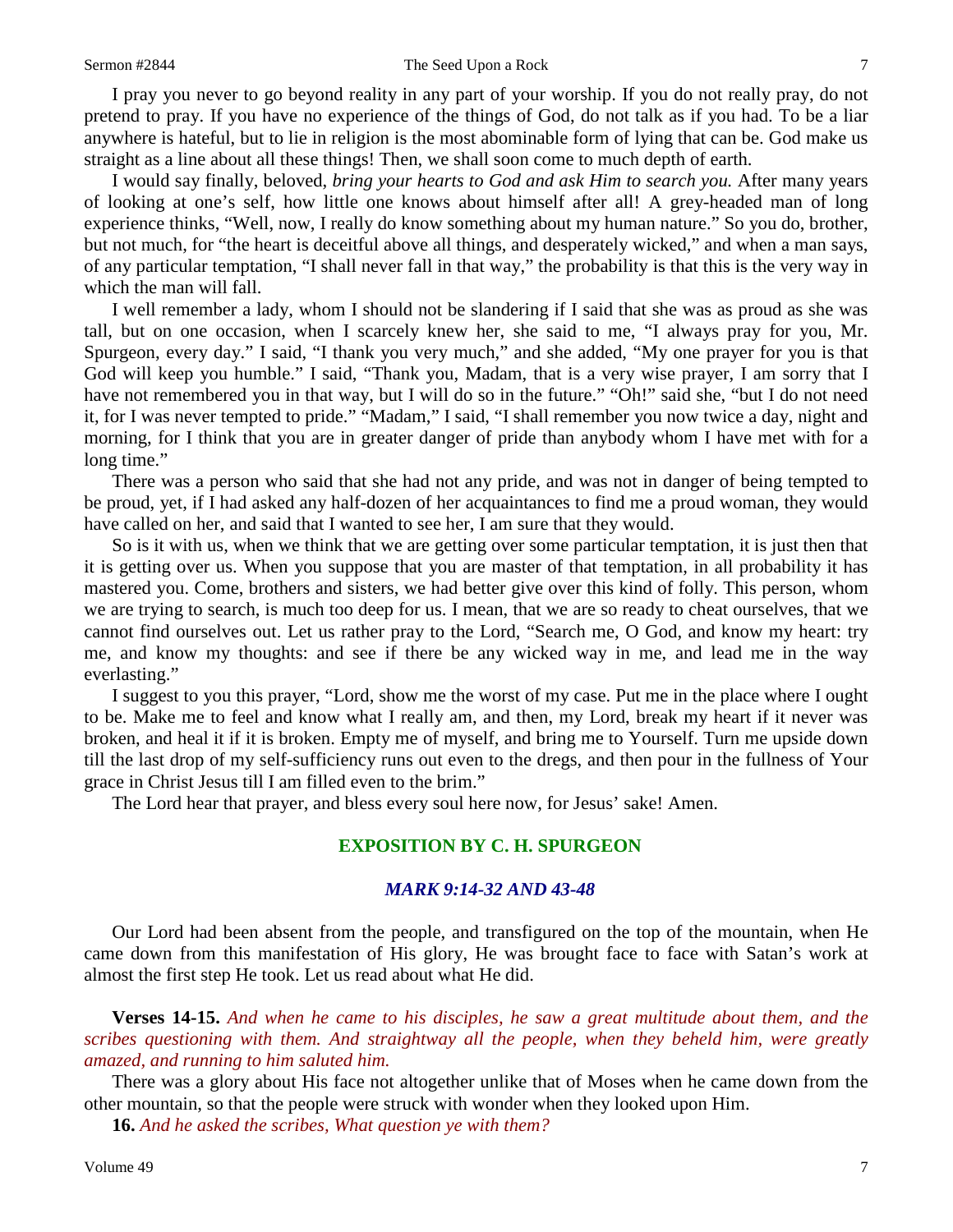### Sermon #2844 The Seed Upon a Rock 7

I pray you never to go beyond reality in any part of your worship. If you do not really pray, do not pretend to pray. If you have no experience of the things of God, do not talk as if you had. To be a liar anywhere is hateful, but to lie in religion is the most abominable form of lying that can be. God make us straight as a line about all these things! Then, we shall soon come to much depth of earth.

I would say finally, beloved, *bring your hearts to God and ask Him to search you.* After many years of looking at one's self, how little one knows about himself after all! A grey-headed man of long experience thinks, "Well, now, I really do know something about my human nature." So you do, brother, but not much, for "the heart is deceitful above all things, and desperately wicked," and when a man says, of any particular temptation, "I shall never fall in that way," the probability is that this is the very way in which the man will fall.

I well remember a lady, whom I should not be slandering if I said that she was as proud as she was tall, but on one occasion, when I scarcely knew her, she said to me, "I always pray for you, Mr. Spurgeon, every day." I said, "I thank you very much," and she added, "My one prayer for you is that God will keep you humble." I said, "Thank you, Madam, that is a very wise prayer, I am sorry that I have not remembered you in that way, but I will do so in the future." "Oh!" said she, "but I do not need it, for I was never tempted to pride." "Madam," I said, "I shall remember you now twice a day, night and morning, for I think that you are in greater danger of pride than anybody whom I have met with for a long time."

There was a person who said that she had not any pride, and was not in danger of being tempted to be proud, yet, if I had asked any half-dozen of her acquaintances to find me a proud woman, they would have called on her, and said that I wanted to see her, I am sure that they would.

So is it with us, when we think that we are getting over some particular temptation, it is just then that it is getting over us. When you suppose that you are master of that temptation, in all probability it has mastered you. Come, brothers and sisters, we had better give over this kind of folly. This person, whom we are trying to search, is much too deep for us. I mean, that we are so ready to cheat ourselves, that we cannot find ourselves out. Let us rather pray to the Lord, "Search me, O God, and know my heart: try me, and know my thoughts: and see if there be any wicked way in me, and lead me in the way everlasting."

I suggest to you this prayer, "Lord, show me the worst of my case. Put me in the place where I ought to be. Make me to feel and know what I really am, and then, my Lord, break my heart if it never was broken, and heal it if it is broken. Empty me of myself, and bring me to Yourself. Turn me upside down till the last drop of my self-sufficiency runs out even to the dregs, and then pour in the fullness of Your grace in Christ Jesus till I am filled even to the brim."

The Lord hear that prayer, and bless every soul here now, for Jesus' sake! Amen.

## **EXPOSITION BY C. H. SPURGEON**

## *MARK 9:14-32 AND 43-48*

Our Lord had been absent from the people, and transfigured on the top of the mountain, when He came down from this manifestation of His glory, He was brought face to face with Satan's work at almost the first step He took. Let us read about what He did.

**Verses 14-15.** *And when he came to his disciples, he saw a great multitude about them, and the scribes questioning with them. And straightway all the people, when they beheld him, were greatly amazed, and running to him saluted him.*

There was a glory about His face not altogether unlike that of Moses when he came down from the other mountain, so that the people were struck with wonder when they looked upon Him.

**16.** *And he asked the scribes, What question ye with them?*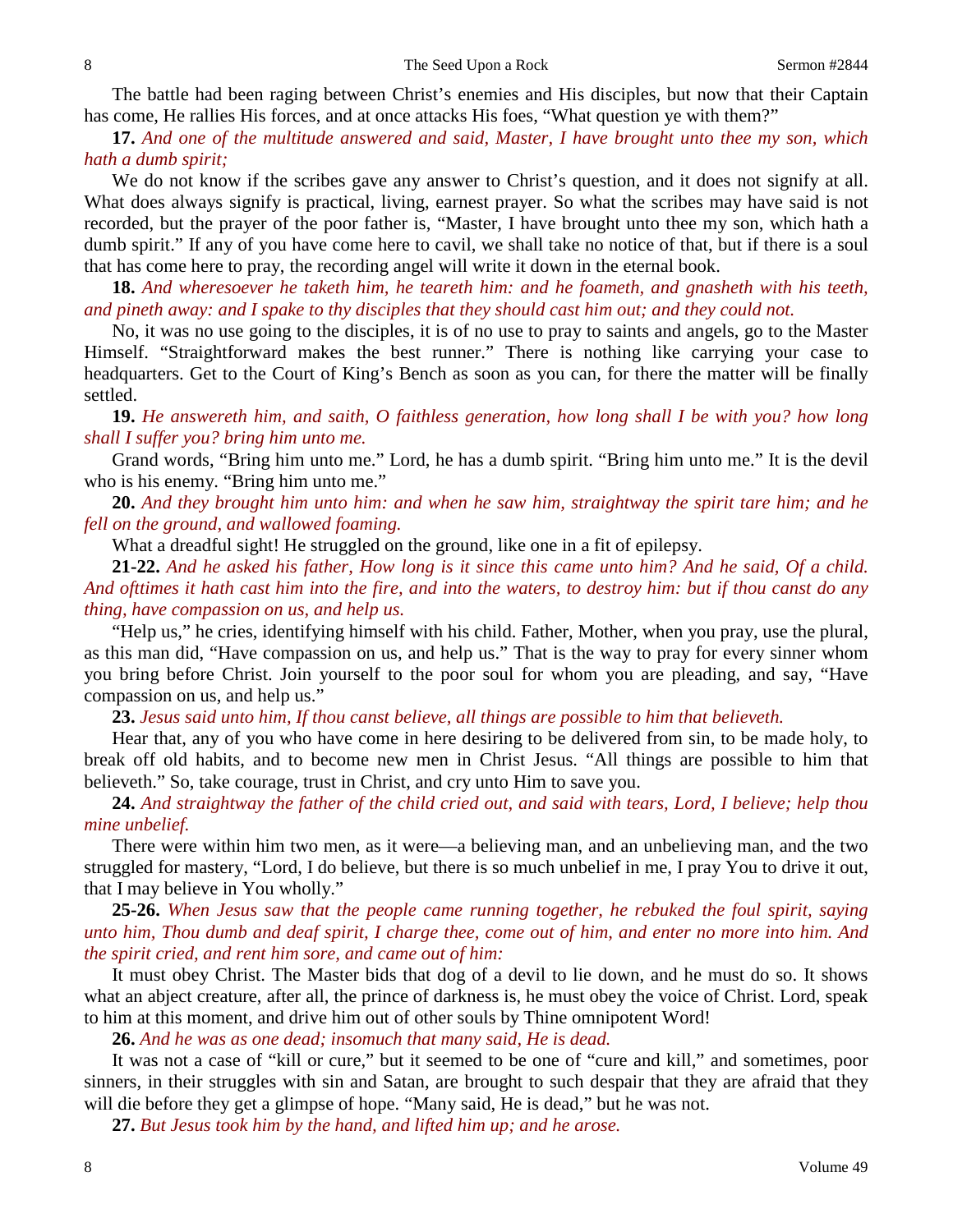The battle had been raging between Christ's enemies and His disciples, but now that their Captain has come, He rallies His forces, and at once attacks His foes, "What question ye with them?"

**17.** *And one of the multitude answered and said, Master, I have brought unto thee my son, which hath a dumb spirit;*

We do not know if the scribes gave any answer to Christ's question, and it does not signify at all. What does always signify is practical, living, earnest prayer. So what the scribes may have said is not recorded, but the prayer of the poor father is, "Master, I have brought unto thee my son, which hath a dumb spirit." If any of you have come here to cavil, we shall take no notice of that, but if there is a soul that has come here to pray, the recording angel will write it down in the eternal book.

**18.** *And wheresoever he taketh him, he teareth him: and he foameth, and gnasheth with his teeth, and pineth away: and I spake to thy disciples that they should cast him out; and they could not.*

No, it was no use going to the disciples, it is of no use to pray to saints and angels, go to the Master Himself. "Straightforward makes the best runner." There is nothing like carrying your case to headquarters. Get to the Court of King's Bench as soon as you can, for there the matter will be finally settled.

**19.** *He answereth him, and saith, O faithless generation, how long shall I be with you? how long shall I suffer you? bring him unto me.*

Grand words, "Bring him unto me." Lord, he has a dumb spirit. "Bring him unto me." It is the devil who is his enemy. "Bring him unto me."

**20.** *And they brought him unto him: and when he saw him, straightway the spirit tare him; and he fell on the ground, and wallowed foaming.*

What a dreadful sight! He struggled on the ground, like one in a fit of epilepsy.

**21-22.** *And he asked his father, How long is it since this came unto him? And he said, Of a child. And ofttimes it hath cast him into the fire, and into the waters, to destroy him: but if thou canst do any thing, have compassion on us, and help us.*

"Help us," he cries, identifying himself with his child. Father, Mother, when you pray, use the plural, as this man did, "Have compassion on us, and help us." That is the way to pray for every sinner whom you bring before Christ. Join yourself to the poor soul for whom you are pleading, and say, "Have compassion on us, and help us."

**23.** *Jesus said unto him, If thou canst believe, all things are possible to him that believeth.*

Hear that, any of you who have come in here desiring to be delivered from sin, to be made holy, to break off old habits, and to become new men in Christ Jesus. "All things are possible to him that believeth." So, take courage, trust in Christ, and cry unto Him to save you.

**24.** *And straightway the father of the child cried out, and said with tears, Lord, I believe; help thou mine unbelief.*

There were within him two men, as it were—a believing man, and an unbelieving man, and the two struggled for mastery, "Lord, I do believe, but there is so much unbelief in me, I pray You to drive it out, that I may believe in You wholly."

**25-26.** *When Jesus saw that the people came running together, he rebuked the foul spirit, saying unto him, Thou dumb and deaf spirit, I charge thee, come out of him, and enter no more into him. And the spirit cried, and rent him sore, and came out of him:*

It must obey Christ. The Master bids that dog of a devil to lie down, and he must do so. It shows what an abject creature, after all, the prince of darkness is, he must obey the voice of Christ. Lord, speak to him at this moment, and drive him out of other souls by Thine omnipotent Word!

**26.** *And he was as one dead; insomuch that many said, He is dead.*

It was not a case of "kill or cure," but it seemed to be one of "cure and kill," and sometimes, poor sinners, in their struggles with sin and Satan, are brought to such despair that they are afraid that they will die before they get a glimpse of hope. "Many said, He is dead," but he was not.

**27.** *But Jesus took him by the hand, and lifted him up; and he arose.*